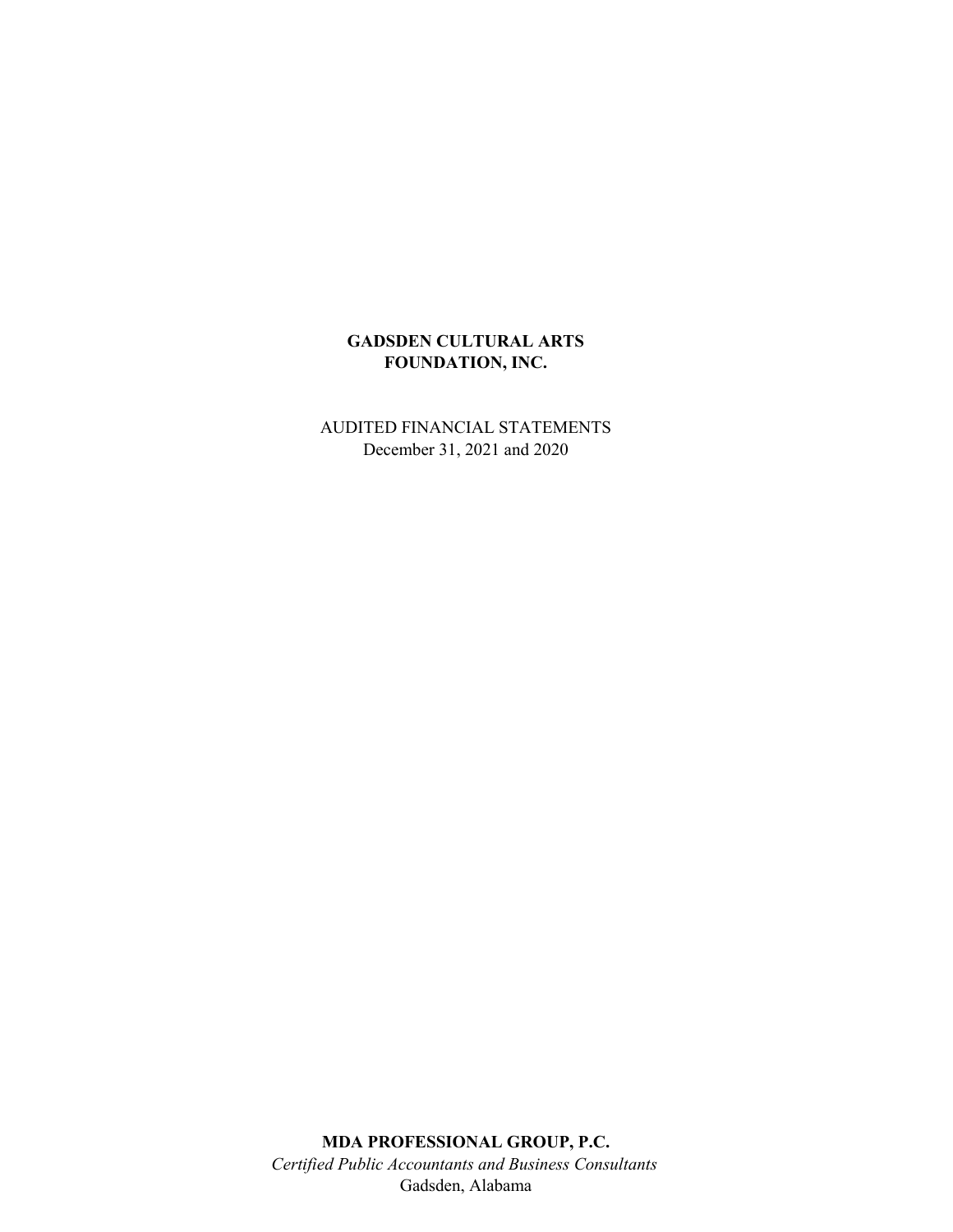AUDITED FINANCIAL STATEMENTS December 31, 2021 and 2020

**MDA PROFESSIONAL GROUP, P.C.** *Certified Public Accountants and Business Consultants* Gadsden, Alabama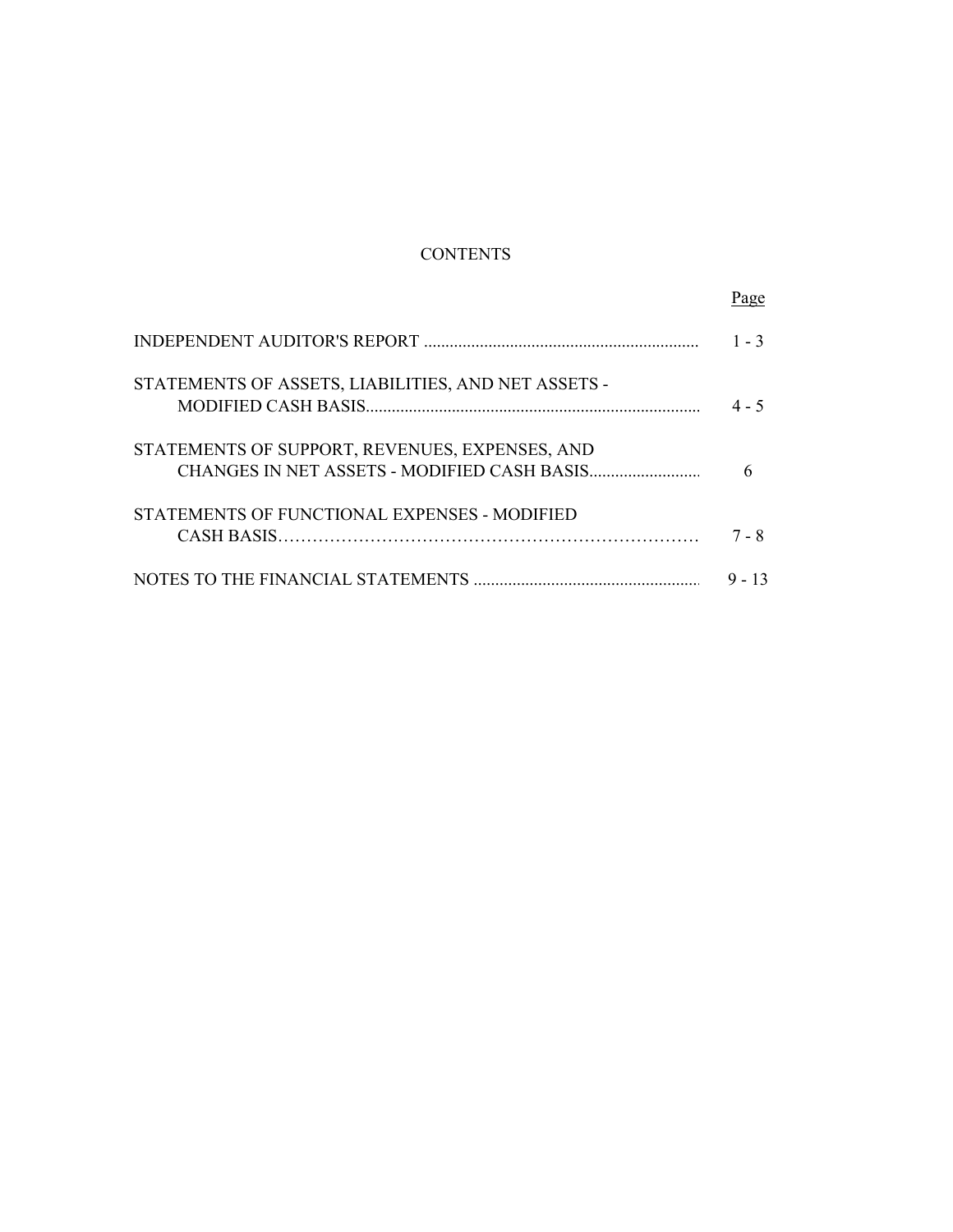# **CONTENTS**

|                                                     | $1 - 3$  |
|-----------------------------------------------------|----------|
| STATEMENTS OF ASSETS, LIABILITIES, AND NET ASSETS - | $4 - 5$  |
| STATEMENTS OF SUPPORT, REVENUES, EXPENSES, AND      |          |
| STATEMENTS OF FUNCTIONAL EXPENSES - MODIFIED        | 7 - 8    |
|                                                     | $9 - 13$ |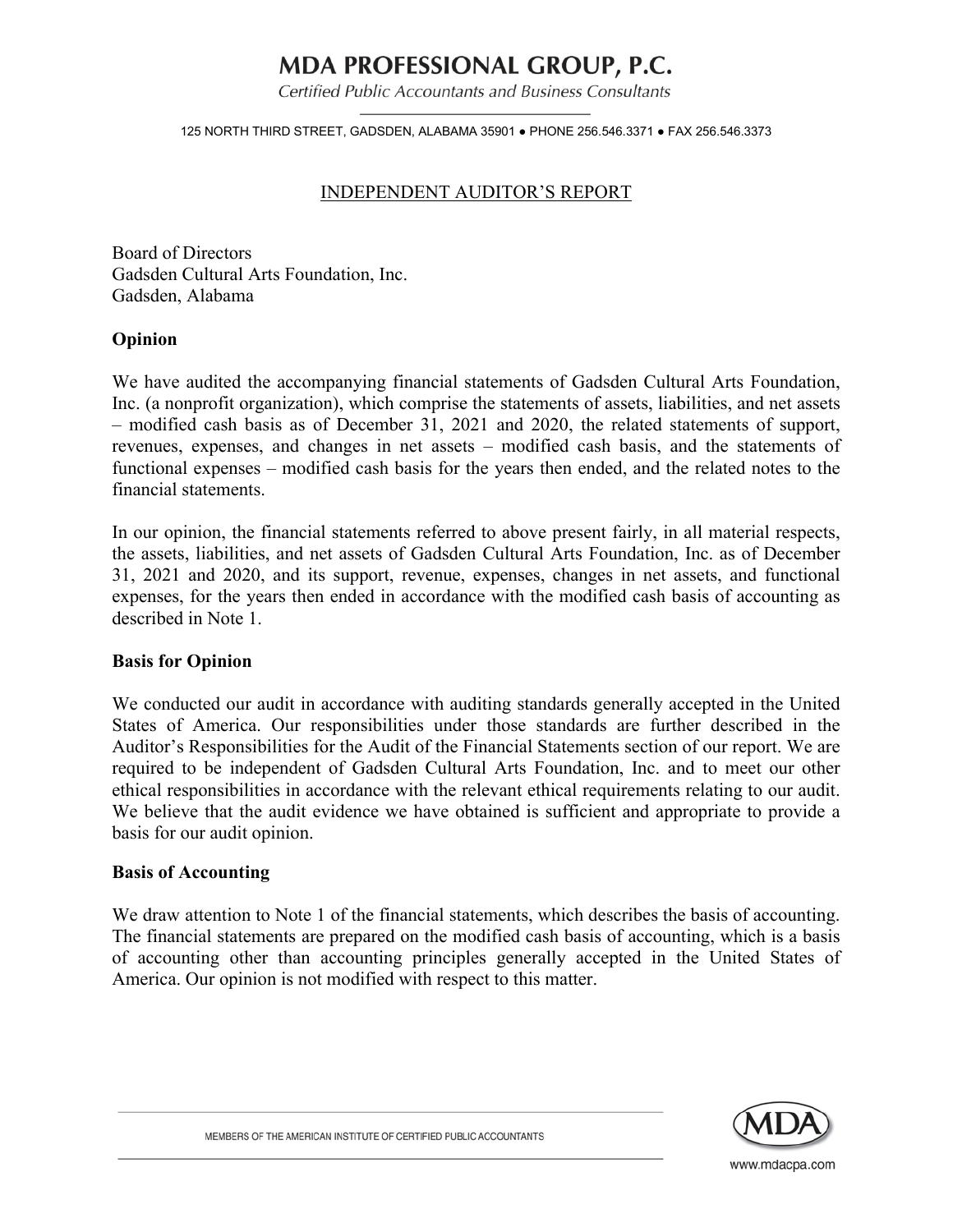# **MDA PROFESSIONAL GROUP, P.C.**

Certified Public Accountants and Business Consultants

125 NORTH THIRD STREET, GADSDEN, ALABAMA 35901 ● PHONE 256.546.3371 ● FAX 256.546.3373

# INDEPENDENT AUDITOR'S REPORT

Board of Directors Gadsden Cultural Arts Foundation, Inc. Gadsden, Alabama

### **Opinion**

We have audited the accompanying financial statements of Gadsden Cultural Arts Foundation, Inc. (a nonprofit organization), which comprise the statements of assets, liabilities, and net assets – modified cash basis as of December 31, 2021 and 2020, the related statements of support, revenues, expenses, and changes in net assets – modified cash basis, and the statements of functional expenses – modified cash basis for the years then ended, and the related notes to the financial statements.

In our opinion, the financial statements referred to above present fairly, in all material respects, the assets, liabilities, and net assets of Gadsden Cultural Arts Foundation, Inc. as of December 31, 2021 and 2020, and its support, revenue, expenses, changes in net assets, and functional expenses, for the years then ended in accordance with the modified cash basis of accounting as described in Note 1.

#### **Basis for Opinion**

We conducted our audit in accordance with auditing standards generally accepted in the United States of America. Our responsibilities under those standards are further described in the Auditor's Responsibilities for the Audit of the Financial Statements section of our report. We are required to be independent of Gadsden Cultural Arts Foundation, Inc. and to meet our other ethical responsibilities in accordance with the relevant ethical requirements relating to our audit. We believe that the audit evidence we have obtained is sufficient and appropriate to provide a basis for our audit opinion.

#### **Basis of Accounting**

We draw attention to Note 1 of the financial statements, which describes the basis of accounting. The financial statements are prepared on the modified cash basis of accounting, which is a basis of accounting other than accounting principles generally accepted in the United States of America. Our opinion is not modified with respect to this matter.

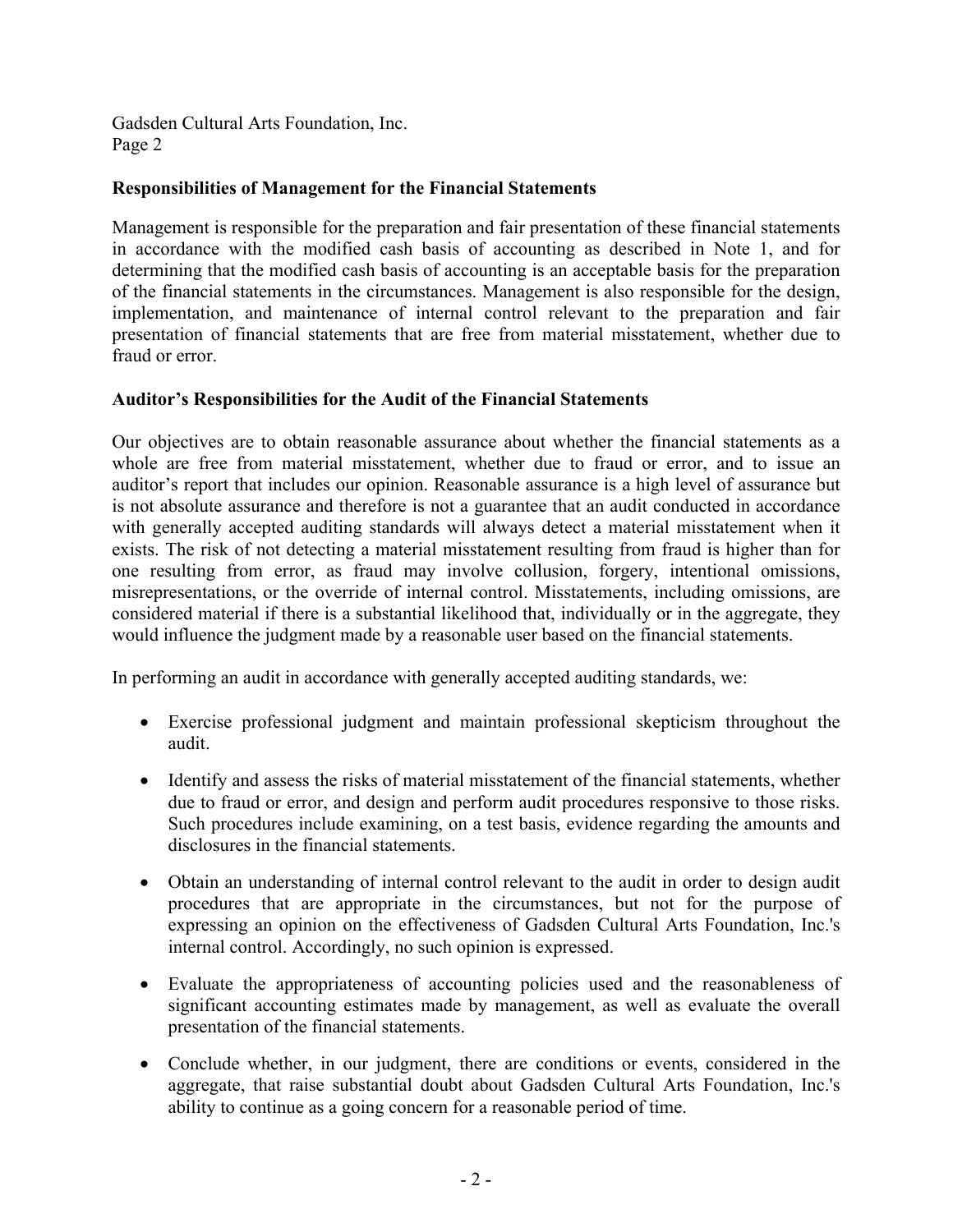Gadsden Cultural Arts Foundation, Inc. Page 2

# **Responsibilities of Management for the Financial Statements**

Management is responsible for the preparation and fair presentation of these financial statements in accordance with the modified cash basis of accounting as described in Note 1, and for determining that the modified cash basis of accounting is an acceptable basis for the preparation of the financial statements in the circumstances. Management is also responsible for the design, implementation, and maintenance of internal control relevant to the preparation and fair presentation of financial statements that are free from material misstatement, whether due to fraud or error.

# **Auditor's Responsibilities for the Audit of the Financial Statements**

Our objectives are to obtain reasonable assurance about whether the financial statements as a whole are free from material misstatement, whether due to fraud or error, and to issue an auditor's report that includes our opinion. Reasonable assurance is a high level of assurance but is not absolute assurance and therefore is not a guarantee that an audit conducted in accordance with generally accepted auditing standards will always detect a material misstatement when it exists. The risk of not detecting a material misstatement resulting from fraud is higher than for one resulting from error, as fraud may involve collusion, forgery, intentional omissions, misrepresentations, or the override of internal control. Misstatements, including omissions, are considered material if there is a substantial likelihood that, individually or in the aggregate, they would influence the judgment made by a reasonable user based on the financial statements.

In performing an audit in accordance with generally accepted auditing standards, we:

- Exercise professional judgment and maintain professional skepticism throughout the audit.
- Identify and assess the risks of material misstatement of the financial statements, whether due to fraud or error, and design and perform audit procedures responsive to those risks. Such procedures include examining, on a test basis, evidence regarding the amounts and disclosures in the financial statements.
- Obtain an understanding of internal control relevant to the audit in order to design audit procedures that are appropriate in the circumstances, but not for the purpose of expressing an opinion on the effectiveness of Gadsden Cultural Arts Foundation, Inc.'s internal control. Accordingly, no such opinion is expressed.
- Evaluate the appropriateness of accounting policies used and the reasonableness of significant accounting estimates made by management, as well as evaluate the overall presentation of the financial statements.
- Conclude whether, in our judgment, there are conditions or events, considered in the aggregate, that raise substantial doubt about Gadsden Cultural Arts Foundation, Inc.'s ability to continue as a going concern for a reasonable period of time.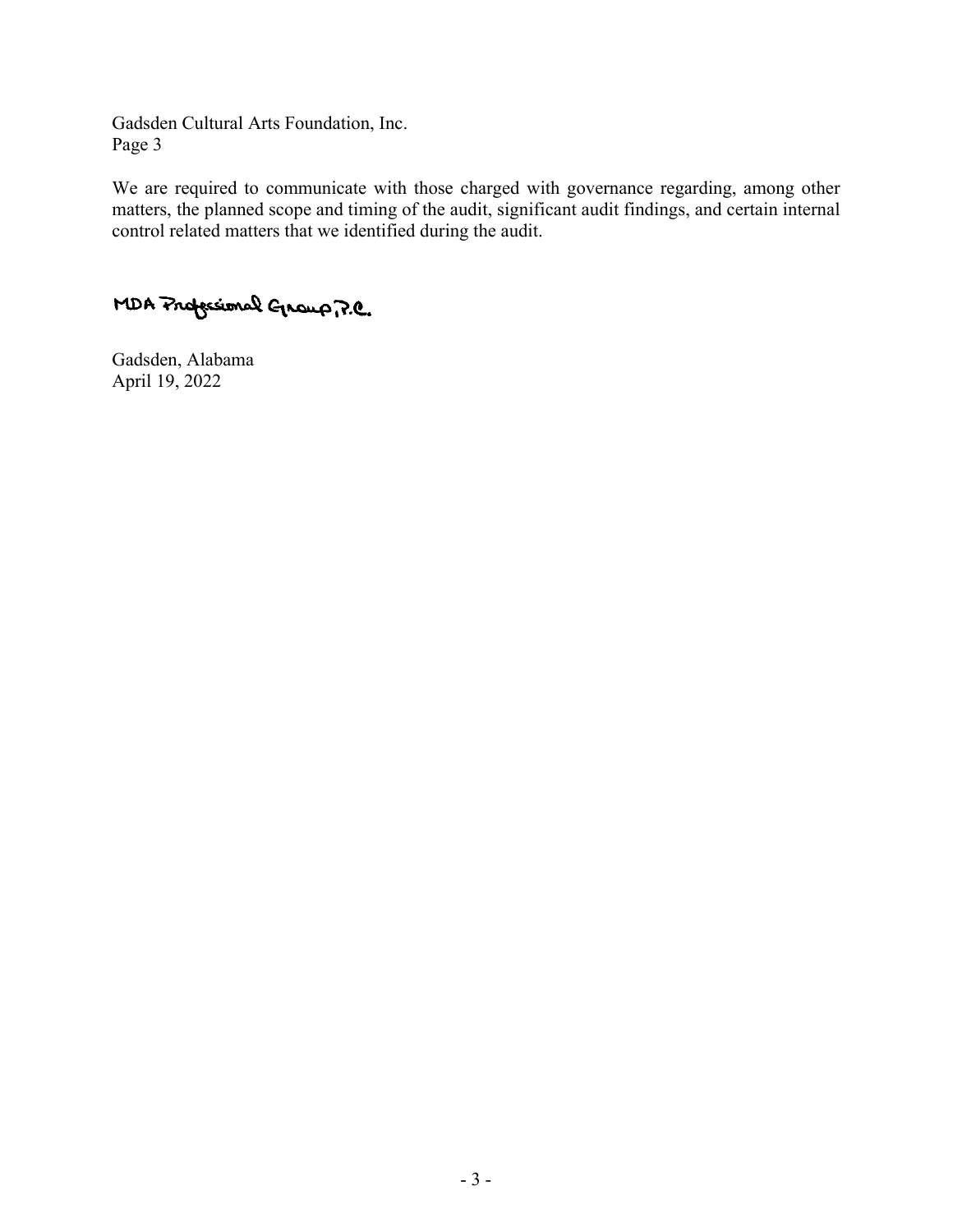Gadsden Cultural Arts Foundation, Inc. Page 3

We are required to communicate with those charged with governance regarding, among other matters, the planned scope and timing of the audit, significant audit findings, and certain internal control related matters that we identified during the audit.

# MDA Professional Group, P.C.

Gadsden, Alabama April 19, 2022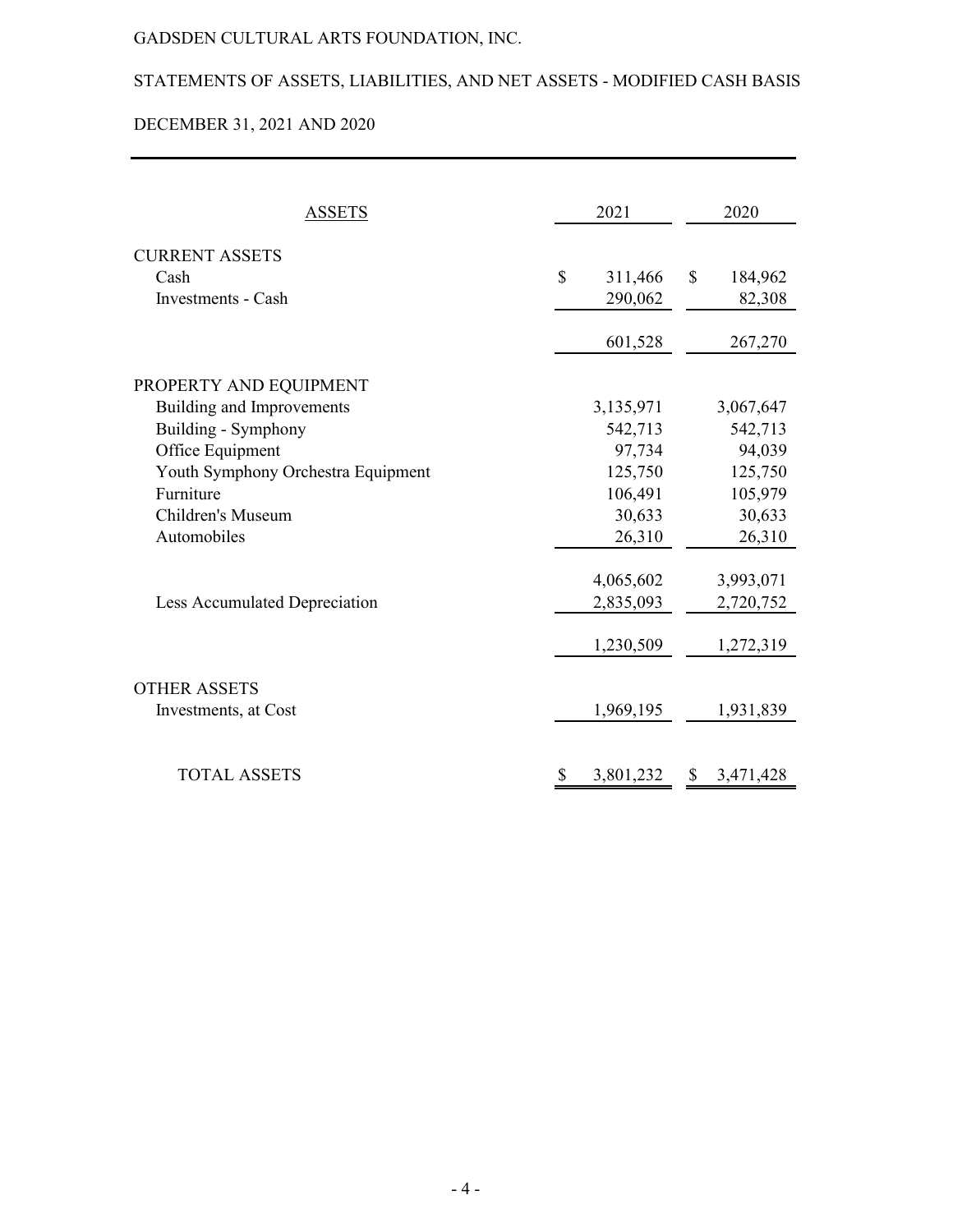# STATEMENTS OF ASSETS, LIABILITIES, AND NET ASSETS - MODIFIED CASH BASIS

## DECEMBER 31, 2021 AND 2020

| <b>ASSETS</b>                      | 2021                    | 2020                      |
|------------------------------------|-------------------------|---------------------------|
| <b>CURRENT ASSETS</b>              |                         |                           |
| Cash                               | $\mathbb{S}$<br>311,466 | \$<br>184,962             |
| Investments - Cash                 | 290,062                 | 82,308                    |
|                                    |                         |                           |
|                                    | 601,528                 | 267,270                   |
| PROPERTY AND EQUIPMENT             |                         |                           |
| Building and Improvements          | 3,135,971               | 3,067,647                 |
| Building - Symphony                | 542,713                 | 542,713                   |
| Office Equipment                   | 97,734                  | 94,039                    |
| Youth Symphony Orchestra Equipment | 125,750                 | 125,750                   |
| Furniture                          | 106,491                 | 105,979                   |
| Children's Museum                  | 30,633                  | 30,633                    |
| Automobiles                        | 26,310                  | 26,310                    |
|                                    |                         |                           |
|                                    | 4,065,602               | 3,993,071                 |
| Less Accumulated Depreciation      | 2,835,093               | 2,720,752                 |
|                                    | 1,230,509               | 1,272,319                 |
| <b>OTHER ASSETS</b>                |                         |                           |
| Investments, at Cost               | 1,969,195               | 1,931,839                 |
|                                    |                         |                           |
| <b>TOTAL ASSETS</b>                | 3,801,232<br>\$         | $\mathbb{S}$<br>3,471,428 |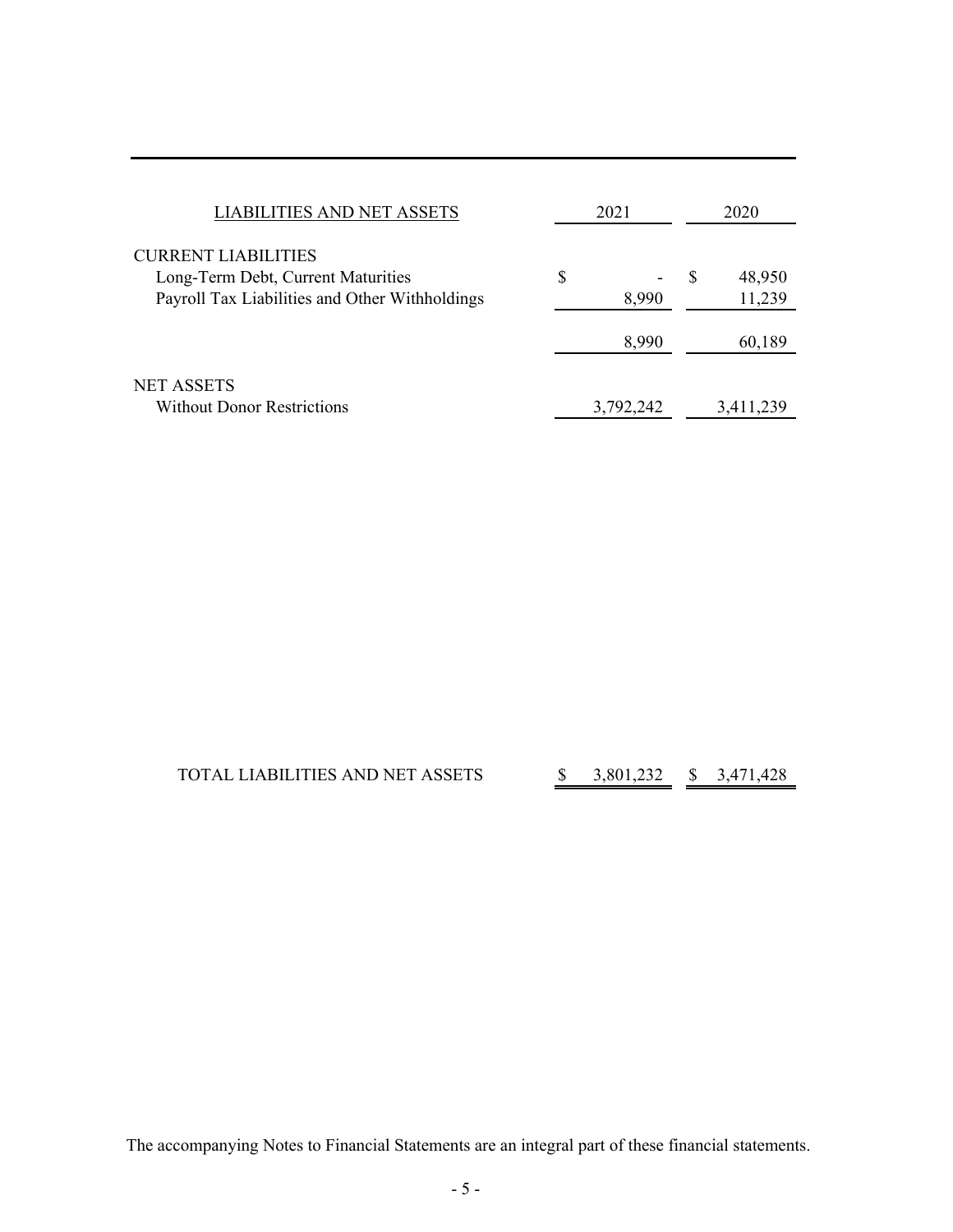| LIABILITIES AND NET ASSETS                     | 2021      | 2020      |
|------------------------------------------------|-----------|-----------|
| <b>CURRENT LIABILITIES</b>                     |           |           |
| Long-Term Debt, Current Maturities             | \$        | 48,950    |
| Payroll Tax Liabilities and Other Withholdings | 8,990     | 11,239    |
|                                                | 8,990     | 60,189    |
| <b>NET ASSETS</b>                              |           |           |
| <b>Without Donor Restrictions</b>              | 3,792,242 | 3,411,239 |

TOTAL LIABILITIES AND NET ASSETS  $\frac{\$}{10}$  3,801,232  $\frac{\$}{10}$  3,471,428

The accompanying Notes to Financial Statements are an integral part of these financial statements.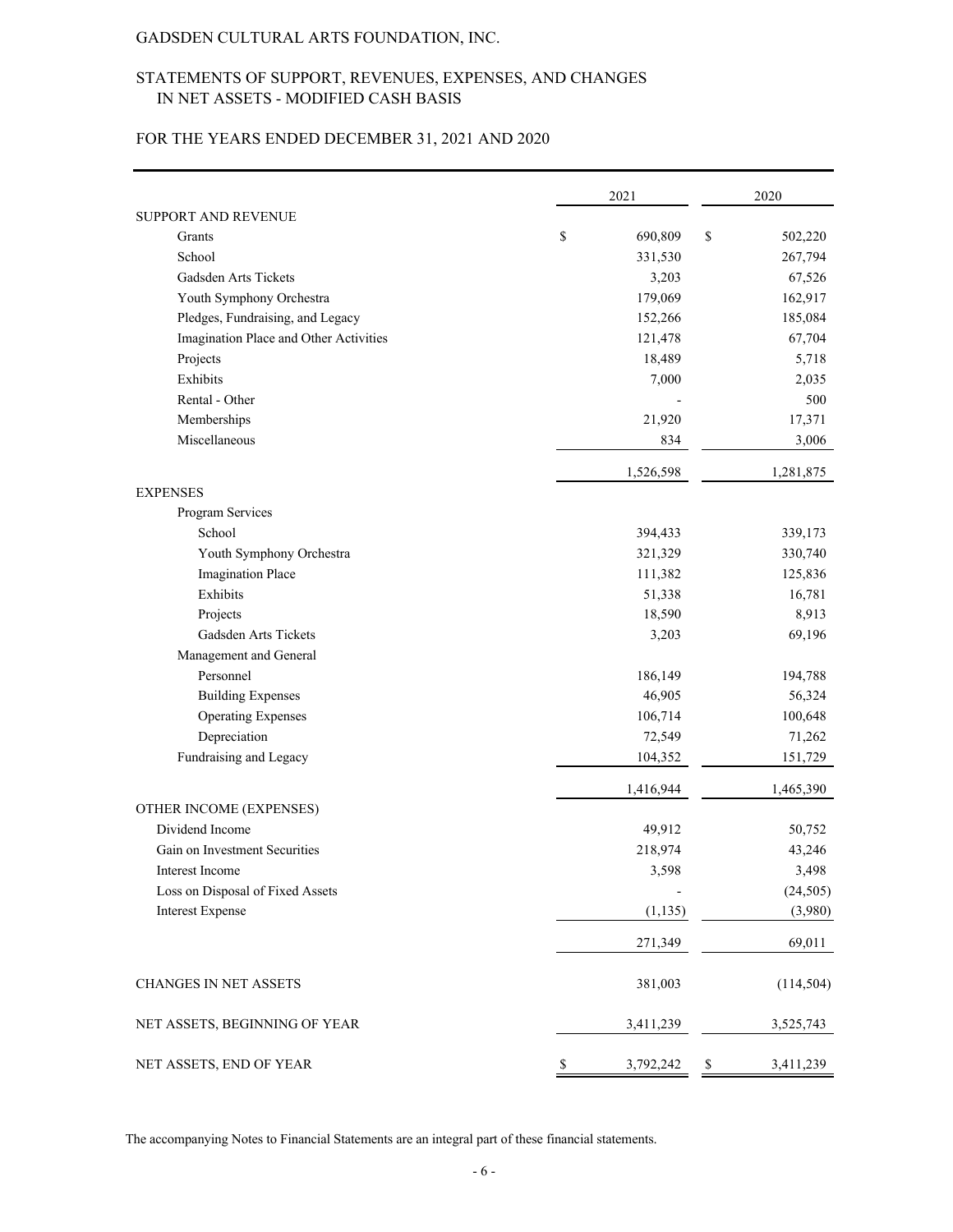#### STATEMENTS OF SUPPORT, REVENUES, EXPENSES, AND CHANGES IN NET ASSETS - MODIFIED CASH BASIS

### FOR THE YEARS ENDED DECEMBER 31, 2021 AND 2020

|                                            | 2021            | 2020            |  |  |
|--------------------------------------------|-----------------|-----------------|--|--|
| SUPPORT AND REVENUE                        |                 |                 |  |  |
| Grants                                     | \$<br>690,809   | \$<br>502,220   |  |  |
| School                                     | 331,530         | 267,794         |  |  |
| Gadsden Arts Tickets                       | 3,203           | 67,526          |  |  |
| Youth Symphony Orchestra                   | 179,069         | 162,917         |  |  |
| Pledges, Fundraising, and Legacy           | 152,266         | 185,084         |  |  |
| Imagination Place and Other Activities     | 121,478         | 67,704          |  |  |
| Projects                                   | 18,489          | 5,718           |  |  |
| Exhibits                                   | 7,000           | 2,035           |  |  |
| Rental - Other                             |                 | 500             |  |  |
| Memberships                                | 21,920          | 17,371          |  |  |
| Miscellaneous                              | 834             | 3,006           |  |  |
|                                            | 1,526,598       | 1,281,875       |  |  |
| <b>EXPENSES</b>                            |                 |                 |  |  |
| Program Services                           |                 |                 |  |  |
| School                                     | 394,433         | 339,173         |  |  |
| Youth Symphony Orchestra                   | 321,329         | 330,740         |  |  |
| <b>Imagination Place</b>                   | 111,382         | 125,836         |  |  |
| Exhibits                                   | 51,338          | 16,781          |  |  |
| Projects                                   | 18,590          | 8,913           |  |  |
| Gadsden Arts Tickets                       | 3,203           | 69,196          |  |  |
| Management and General                     |                 |                 |  |  |
| Personnel                                  | 186,149         | 194,788         |  |  |
| <b>Building Expenses</b>                   | 46,905          | 56,324          |  |  |
| <b>Operating Expenses</b>                  | 106,714         | 100,648         |  |  |
| Depreciation                               | 72,549          | 71,262          |  |  |
| Fundraising and Legacy                     | 104,352         | 151,729         |  |  |
|                                            | 1,416,944       | 1,465,390       |  |  |
| OTHER INCOME (EXPENSES)<br>Dividend Income | 49,912          | 50,752          |  |  |
| Gain on Investment Securities              | 218,974         | 43,246          |  |  |
| Interest Income                            | 3,598           | 3,498           |  |  |
| Loss on Disposal of Fixed Assets           |                 | (24, 505)       |  |  |
| <b>Interest Expense</b>                    | (1, 135)        | (3,980)         |  |  |
|                                            | 271,349         | 69,011          |  |  |
| <b>CHANGES IN NET ASSETS</b>               | 381,003         | (114, 504)      |  |  |
|                                            |                 |                 |  |  |
| NET ASSETS, BEGINNING OF YEAR              | 3,411,239       | 3,525,743       |  |  |
| NET ASSETS, END OF YEAR                    | \$<br>3,792,242 | \$<br>3,411,239 |  |  |

The accompanying Notes to Financial Statements are an integral part of these financial statements.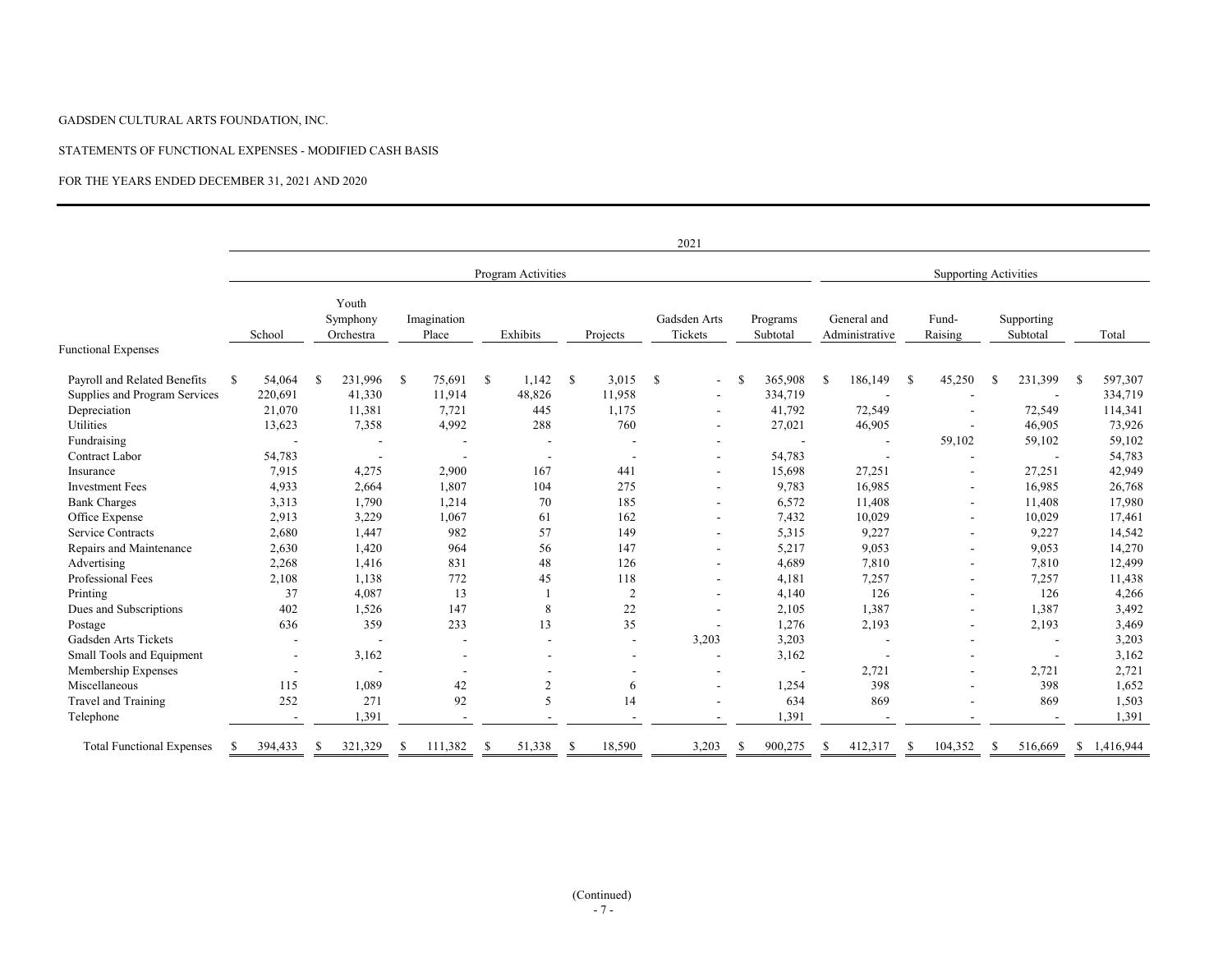#### STATEMENTS OF FUNCTIONAL EXPENSES - MODIFIED CASH BASIS

#### FOR THE YEARS ENDED DECEMBER 31, 2021 AND 2020

|                                               |              |                          |    |                                |               |                          |              |                          |    |                 |     | 2021                                       |                              |                      |    |                               |               |                          |    |                        |               |                    |
|-----------------------------------------------|--------------|--------------------------|----|--------------------------------|---------------|--------------------------|--------------|--------------------------|----|-----------------|-----|--------------------------------------------|------------------------------|----------------------|----|-------------------------------|---------------|--------------------------|----|------------------------|---------------|--------------------|
|                                               |              | Program Activities       |    |                                |               |                          |              |                          |    |                 |     |                                            | <b>Supporting Activities</b> |                      |    |                               |               |                          |    |                        |               |                    |
| <b>Functional Expenses</b>                    |              | School                   |    | Youth<br>Symphony<br>Orchestra |               | Imagination<br>Place     |              | Exhibits                 |    | Projects        |     | Gadsden Arts<br>Tickets                    |                              | Programs<br>Subtotal |    | General and<br>Administrative |               | Fund-<br>Raising         |    | Supporting<br>Subtotal |               | Total              |
|                                               |              |                          |    |                                |               |                          |              |                          |    |                 |     |                                            |                              |                      |    |                               |               |                          |    |                        |               |                    |
| Payroll and Related Benefits                  | <sup>S</sup> | 54,064                   | -S | 231,996<br>41,330              | <sup>\$</sup> | 75,691<br>11,914         | $\mathbb{S}$ | 1,142<br>48,826          | S. | 3,015<br>11,958 | -\$ | $\mathbf{r}$                               | -S                           | 365,908<br>334,719   | -S | 186,149                       | <sup>\$</sup> | 45,250                   | -S | 231,399                | <sup>\$</sup> | 597,307<br>334,719 |
| Supplies and Program Services<br>Depreciation |              | 220,691<br>21,070        |    | 11,381                         |               | 7,721                    |              | 445                      |    | 1,175           |     | $\blacksquare$<br>$\overline{\phantom{a}}$ |                              | 41,792               |    | 72,549                        |               |                          |    | 72,549                 |               | 114,341            |
| Utilities                                     |              | 13,623                   |    | 7,358                          |               | 4,992                    |              | 288                      |    | 760             |     | $\overline{\phantom{a}}$                   |                              | 27,021               |    | 46,905                        |               |                          |    | 46,905                 |               | 73,926             |
| Fundraising                                   |              |                          |    | ٠                              |               |                          |              | $\blacksquare$           |    |                 |     | ۰                                          |                              |                      |    | $\overline{\phantom{a}}$      |               | 59,102                   |    | 59,102                 |               | 59,102             |
| Contract Labor                                |              | 54,783                   |    | ٠                              |               | $\overline{\phantom{a}}$ |              | $\overline{\phantom{a}}$ |    |                 |     | $\overline{\phantom{a}}$                   |                              | 54,783               |    | $\overline{\phantom{a}}$      |               |                          |    | $\sim$                 |               | 54,783             |
| Insurance                                     |              | 7,915                    |    | 4,275                          |               | 2,900                    |              | 167                      |    | 441             |     | $\blacksquare$                             |                              | 15,698               |    | 27,251                        |               | $\overline{\phantom{a}}$ |    | 27,251                 |               | 42,949             |
| <b>Investment Fees</b>                        |              | 4,933                    |    | 2,664                          |               | 1,807                    |              | 104                      |    | 275             |     | $\overline{\phantom{a}}$                   |                              | 9,783                |    | 16,985                        |               | $\overline{\phantom{a}}$ |    | 16,985                 |               | 26,768             |
| <b>Bank Charges</b>                           |              | 3,313                    |    | 1,790                          |               | 1,214                    |              | 70                       |    | 185             |     | $\blacksquare$                             |                              | 6,572                |    | 11,408                        |               |                          |    | 11,408                 |               | 17,980             |
| Office Expense                                |              | 2,913                    |    | 3,229                          |               | 1,067                    |              | 61                       |    | 162             |     | $\overline{\phantom{a}}$                   |                              | 7,432                |    | 10,029                        |               |                          |    | 10,029                 |               | 17,461             |
| Service Contracts                             |              | 2,680                    |    | 1,447                          |               | 982                      |              | 57                       |    | 149             |     | $\blacksquare$                             |                              | 5,315                |    | 9,227                         |               | $\overline{\phantom{a}}$ |    | 9,227                  |               | 14,542             |
| Repairs and Maintenance                       |              | 2,630                    |    | 1,420                          |               | 964                      |              | 56                       |    | 147             |     | $\overline{\phantom{a}}$                   |                              | 5,217                |    | 9,053                         |               |                          |    | 9,053                  |               | 14,270             |
| Advertising                                   |              | 2,268                    |    | 1,416                          |               | 831                      |              | 48                       |    | 126             |     | $\blacksquare$                             |                              | 4,689                |    | 7,810                         |               | $\overline{\phantom{a}}$ |    | 7,810                  |               | 12,499             |
| Professional Fees                             |              | 2,108                    |    | 1,138                          |               | 772                      |              | 45                       |    | 118             |     | $\overline{\phantom{a}}$                   |                              | 4,181                |    | 7,257                         |               | $\overline{\phantom{a}}$ |    | 7,257                  |               | 11,438             |
| Printing                                      |              | 37                       |    | 4,087                          |               | 13                       |              |                          |    | $\overline{2}$  |     | $\blacksquare$                             |                              | 4,140                |    | 126                           |               | $\sim$                   |    | 126                    |               | 4,266              |
| Dues and Subscriptions                        |              | 402                      |    | 1,526                          |               | 147                      |              | 8                        |    | 22              |     | $\overline{\phantom{a}}$                   |                              | 2,105                |    | 1,387                         |               |                          |    | 1,387                  |               | 3,492              |
| Postage                                       |              | 636                      |    | 359                            |               | 233                      |              | 13                       |    | 35              |     | $\overline{\phantom{a}}$                   |                              | 1,276                |    | 2,193                         |               |                          |    | 2,193                  |               | 3,469              |
| Gadsden Arts Tickets                          |              | $\blacksquare$           |    | ٠                              |               |                          |              | $\overline{\phantom{a}}$ |    |                 |     | 3,203                                      |                              | 3,203                |    |                               |               |                          |    |                        |               | 3,203              |
| Small Tools and Equipment                     |              | $\blacksquare$           |    | 3,162                          |               |                          |              |                          |    |                 |     | $\overline{\phantom{a}}$                   |                              | 3,162                |    |                               |               |                          |    |                        |               | 3,162              |
| Membership Expenses                           |              | $\overline{\phantom{a}}$ |    | ٠                              |               | $\overline{\phantom{a}}$ |              | $\overline{\phantom{a}}$ |    |                 |     | $\overline{\phantom{a}}$                   |                              |                      |    | 2,721                         |               | $\overline{\phantom{a}}$ |    | 2,721                  |               | 2,721              |
| Miscellaneous                                 |              | 115                      |    | 1,089                          |               | 42                       |              | 2                        |    | 6               |     | $\overline{\phantom{a}}$                   |                              | 1,254                |    | 398                           |               |                          |    | 398                    |               | 1,652              |
| Travel and Training                           |              | 252                      |    | 271                            |               | 92                       |              | 5                        |    | 14              |     | $\overline{\phantom{a}}$                   |                              | 634                  |    | 869                           |               |                          |    | 869                    |               | 1,503              |
| Telephone                                     |              |                          |    | 1.391                          |               |                          |              |                          |    |                 |     |                                            |                              | 1.391                |    |                               |               |                          |    |                        |               | 1,391              |
| <b>Total Functional Expenses</b>              |              | 394,433                  | S  | 321,329                        | S             | 111,382                  |              | 51,338                   | S  | 18,590          |     | 3,203                                      | <sup>\$</sup>                | 900,275              | £. | 412,317                       |               | 104,352                  |    | 516,669                | S.            | 1,416,944          |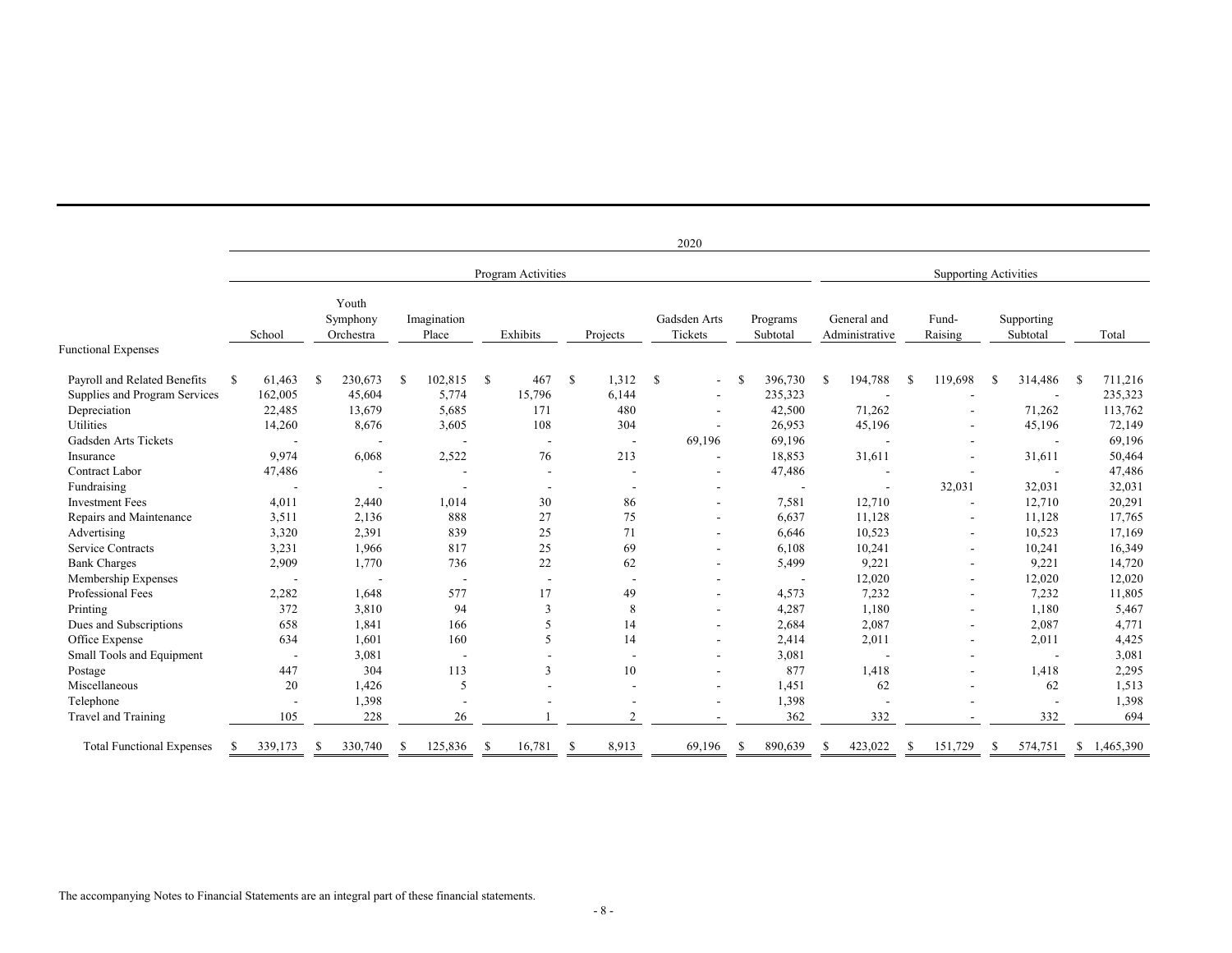|                                  |    |                                                    |              |                                |               |                          |               |                          |               |                          |               | 2020                     |     |                      |               |                               |               |                          |    |                        |      |             |
|----------------------------------|----|----------------------------------------------------|--------------|--------------------------------|---------------|--------------------------|---------------|--------------------------|---------------|--------------------------|---------------|--------------------------|-----|----------------------|---------------|-------------------------------|---------------|--------------------------|----|------------------------|------|-------------|
|                                  |    | Program Activities<br><b>Supporting Activities</b> |              |                                |               |                          |               |                          |               |                          |               |                          |     |                      |               |                               |               |                          |    |                        |      |             |
| <b>Functional Expenses</b>       |    | School                                             |              | Youth<br>Symphony<br>Orchestra |               | Imagination<br>Place     |               | Exhibits                 |               | Projects                 |               | Gadsden Arts<br>Tickets  |     | Programs<br>Subtotal |               | General and<br>Administrative |               | Fund-<br>Raising         |    | Supporting<br>Subtotal |      | Total       |
| Payroll and Related Benefits     | S. | 61,463                                             | <sup>S</sup> | 230,673                        | <sup>\$</sup> | 102,815                  | <sup>\$</sup> | 467                      | <sup>\$</sup> | 1,312                    | <sup>\$</sup> | $\sim$                   | \$. | 396,730              | <sup>\$</sup> | 194,788                       | <sup>\$</sup> | 119,698                  | -S | 314,486                | - \$ | 711,216     |
| Supplies and Program Services    |    | 162,005                                            |              | 45,604                         |               | 5,774                    |               | 15,796                   |               | 6,144                    |               |                          |     | 235,323              |               |                               |               |                          |    |                        |      | 235,323     |
| Depreciation                     |    | 22,485                                             |              | 13,679                         |               | 5,685                    |               | 171                      |               | 480                      |               | $\overline{\phantom{a}}$ |     | 42,500               |               | 71,262                        |               |                          |    | 71,262                 |      | 113,762     |
| Utilities                        |    | 14,260                                             |              | 8,676                          |               | 3,605                    |               | 108                      |               | 304                      |               | ۰                        |     | 26,953               |               | 45,196                        |               | $\overline{\phantom{a}}$ |    | 45,196                 |      | 72,149      |
| Gadsden Arts Tickets             |    |                                                    |              |                                |               | $\overline{\phantom{a}}$ |               | $\overline{\phantom{a}}$ |               | $\overline{a}$           |               | 69,196                   |     | 69,196               |               |                               |               |                          |    |                        |      | 69,196      |
| Insurance                        |    | 9,974                                              |              | 6,068                          |               | 2,522                    |               | 76                       |               | 213                      |               |                          |     | 18,853               |               | 31,611                        |               | $\overline{\phantom{a}}$ |    | 31,611                 |      | 50,464      |
| Contract Labor                   |    | 47,486                                             |              |                                |               |                          |               | $\overline{\phantom{a}}$ |               |                          |               |                          |     | 47,486               |               |                               |               |                          |    |                        |      | 47,486      |
| Fundraising                      |    |                                                    |              | $\overline{\phantom{a}}$       |               | $\overline{\phantom{a}}$ |               | $\overline{\phantom{a}}$ |               |                          |               | $\overline{\phantom{a}}$ |     |                      |               | $\overline{\phantom{a}}$      |               | 32,031                   |    | 32,031                 |      | 32,031      |
| <b>Investment Fees</b>           |    | 4,011                                              |              | 2,440                          |               | 1,014                    |               | 30                       |               | 86                       |               | $\overline{\phantom{a}}$ |     | 7,581                |               | 12,710                        |               | $\overline{\phantom{a}}$ |    | 12,710                 |      | 20,291      |
| Repairs and Maintenance          |    | 3,511                                              |              | 2,136                          |               | 888                      |               | 27                       |               | 75                       |               |                          |     | 6,637                |               | 11,128                        |               | $\blacksquare$           |    | 11,128                 |      | 17,765      |
| Advertising                      |    | 3,320                                              |              | 2,391                          |               | 839                      |               | 25                       |               | 71                       |               |                          |     | 6,646                |               | 10,523                        |               | $\sim$                   |    | 10,523                 |      | 17,169      |
| Service Contracts                |    | 3,231                                              |              | 1,966                          |               | 817                      |               | 25                       |               | 69                       |               |                          |     | 6,108                |               | 10,241                        |               | $\blacksquare$           |    | 10,241                 |      | 16,349      |
| <b>Bank Charges</b>              |    | 2,909                                              |              | 1,770                          |               | 736                      |               | 22                       |               | 62                       |               |                          |     | 5,499                |               | 9,221                         |               |                          |    | 9,221                  |      | 14,720      |
| Membership Expenses              |    |                                                    |              |                                |               | $\overline{a}$           |               | $\overline{\phantom{a}}$ |               | $\overline{\phantom{a}}$ |               |                          |     |                      |               | 12,020                        |               | $\sim$                   |    | 12,020                 |      | 12,020      |
| Professional Fees                |    | 2,282                                              |              | 1,648                          |               | 577                      |               | 17                       |               | 49                       |               |                          |     | 4,573                |               | 7,232                         |               | $\overline{\phantom{a}}$ |    | 7,232                  |      | 11,805      |
| Printing                         |    | 372                                                |              | 3,810                          |               | 94                       |               | $\mathbf{3}$             |               | 8                        |               |                          |     | 4,287                |               | 1,180                         |               | $\overline{\phantom{a}}$ |    | 1,180                  |      | 5,467       |
| Dues and Subscriptions           |    | 658                                                |              | 1,841                          |               | 166                      |               | 5                        |               | 14                       |               |                          |     | 2,684                |               | 2,087                         |               | $\overline{\phantom{a}}$ |    | 2,087                  |      | 4,771       |
| Office Expense                   |    | 634                                                |              | 1,601                          |               | 160                      |               | 5                        |               | 14                       |               |                          |     | 2,414                |               | 2,011                         |               | $\overline{\phantom{a}}$ |    | 2,011                  |      | 4,425       |
| Small Tools and Equipment        |    |                                                    |              | 3,081                          |               | $\overline{\phantom{a}}$ |               |                          |               |                          |               |                          |     | 3,081                |               |                               |               |                          |    |                        |      | 3,081       |
| Postage                          |    | 447                                                |              | 304                            |               | 113                      |               | 3                        |               | 10                       |               |                          |     | 877                  |               | 1,418                         |               | $\overline{\phantom{a}}$ |    | 1,418                  |      | 2,295       |
| Miscellaneous                    |    | 20                                                 |              | 1,426                          |               | 5                        |               |                          |               |                          |               |                          |     | 1,451                |               | 62                            |               |                          |    | 62                     |      | 1,513       |
| Telephone                        |    |                                                    |              | 1,398                          |               |                          |               |                          |               |                          |               |                          |     | 1,398                |               |                               |               |                          |    |                        |      | 1,398       |
| Travel and Training              |    | 105                                                |              | 228                            |               | 26                       |               |                          |               | $\mathcal{D}$            |               |                          |     | 362                  |               | 332                           |               |                          |    | 332                    |      | 694         |
| <b>Total Functional Expenses</b> |    | 339,173                                            | -S           | 330,740                        | S             | 125,836                  | S             | 16,781                   | \$            | 8,913                    |               | 69,196                   | S.  | 890,639              |               | 423,022                       |               | 151,729                  |    | 574,751                |      | \$1,465,390 |

The accompanying Notes to Financial Statements are an integral part of these financial statements.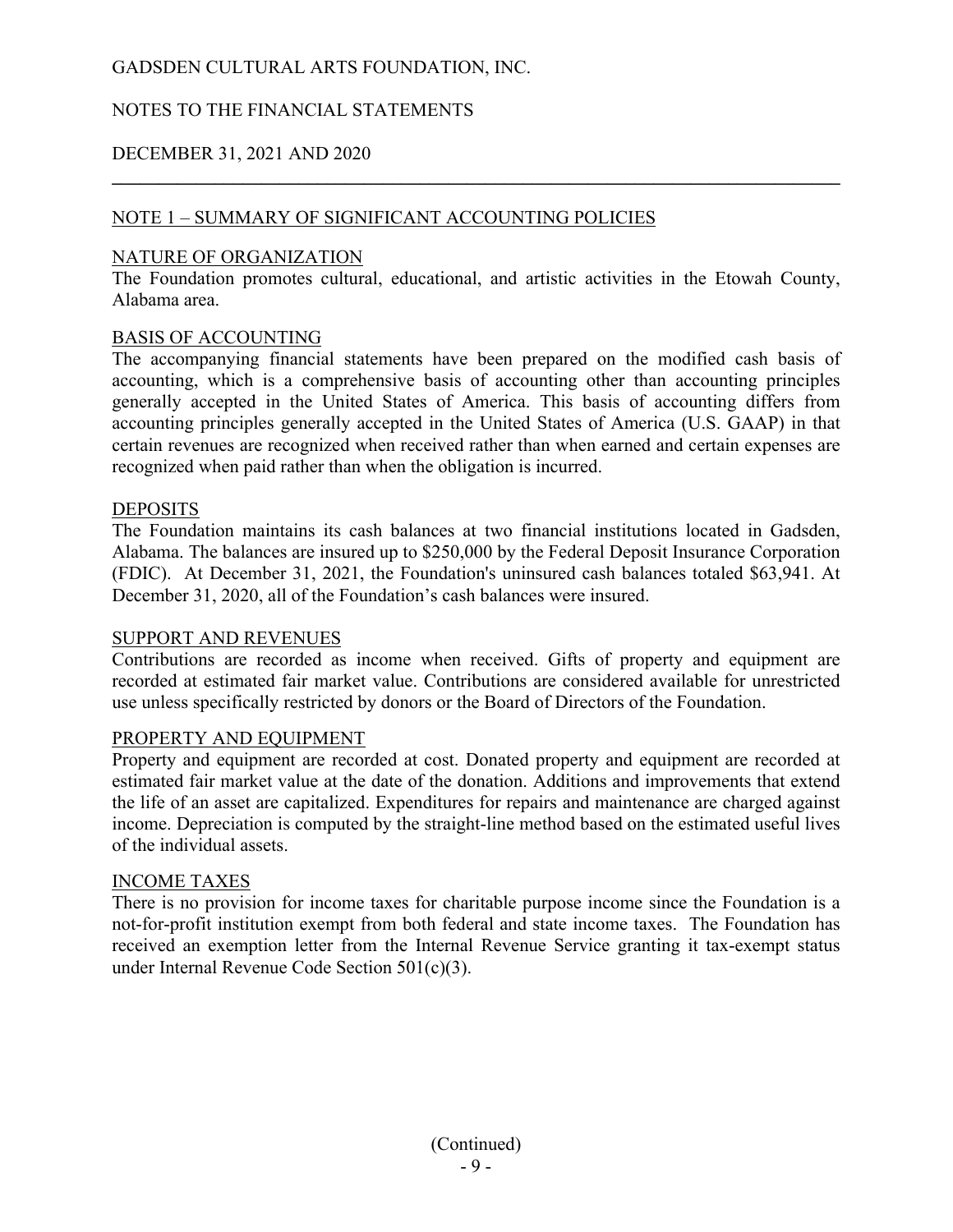# NOTES TO THE FINANCIAL STATEMENTS

# DECEMBER 31, 2021 AND 2020

# NOTE 1 – SUMMARY OF SIGNIFICANT ACCOUNTING POLICIES

#### NATURE OF ORGANIZATION

The Foundation promotes cultural, educational, and artistic activities in the Etowah County, Alabama area.

 $\mathcal{L}_\mathcal{L} = \{ \mathcal{L}_\mathcal{L} = \{ \mathcal{L}_\mathcal{L} = \{ \mathcal{L}_\mathcal{L} = \{ \mathcal{L}_\mathcal{L} = \{ \mathcal{L}_\mathcal{L} = \{ \mathcal{L}_\mathcal{L} = \{ \mathcal{L}_\mathcal{L} = \{ \mathcal{L}_\mathcal{L} = \{ \mathcal{L}_\mathcal{L} = \{ \mathcal{L}_\mathcal{L} = \{ \mathcal{L}_\mathcal{L} = \{ \mathcal{L}_\mathcal{L} = \{ \mathcal{L}_\mathcal{L} = \{ \mathcal{L}_\mathcal{$ 

#### BASIS OF ACCOUNTING

The accompanying financial statements have been prepared on the modified cash basis of accounting, which is a comprehensive basis of accounting other than accounting principles generally accepted in the United States of America. This basis of accounting differs from accounting principles generally accepted in the United States of America (U.S. GAAP) in that certain revenues are recognized when received rather than when earned and certain expenses are recognized when paid rather than when the obligation is incurred.

#### **DEPOSITS**

The Foundation maintains its cash balances at two financial institutions located in Gadsden, Alabama. The balances are insured up to \$250,000 by the Federal Deposit Insurance Corporation (FDIC). At December 31, 2021, the Foundation's uninsured cash balances totaled \$63,941. At December 31, 2020, all of the Foundation's cash balances were insured.

#### SUPPORT AND REVENUES

Contributions are recorded as income when received. Gifts of property and equipment are recorded at estimated fair market value. Contributions are considered available for unrestricted use unless specifically restricted by donors or the Board of Directors of the Foundation.

#### PROPERTY AND EQUIPMENT

Property and equipment are recorded at cost. Donated property and equipment are recorded at estimated fair market value at the date of the donation. Additions and improvements that extend the life of an asset are capitalized. Expenditures for repairs and maintenance are charged against income. Depreciation is computed by the straight-line method based on the estimated useful lives of the individual assets.

#### INCOME TAXES

There is no provision for income taxes for charitable purpose income since the Foundation is a not-for-profit institution exempt from both federal and state income taxes. The Foundation has received an exemption letter from the Internal Revenue Service granting it tax-exempt status under Internal Revenue Code Section 501(c)(3).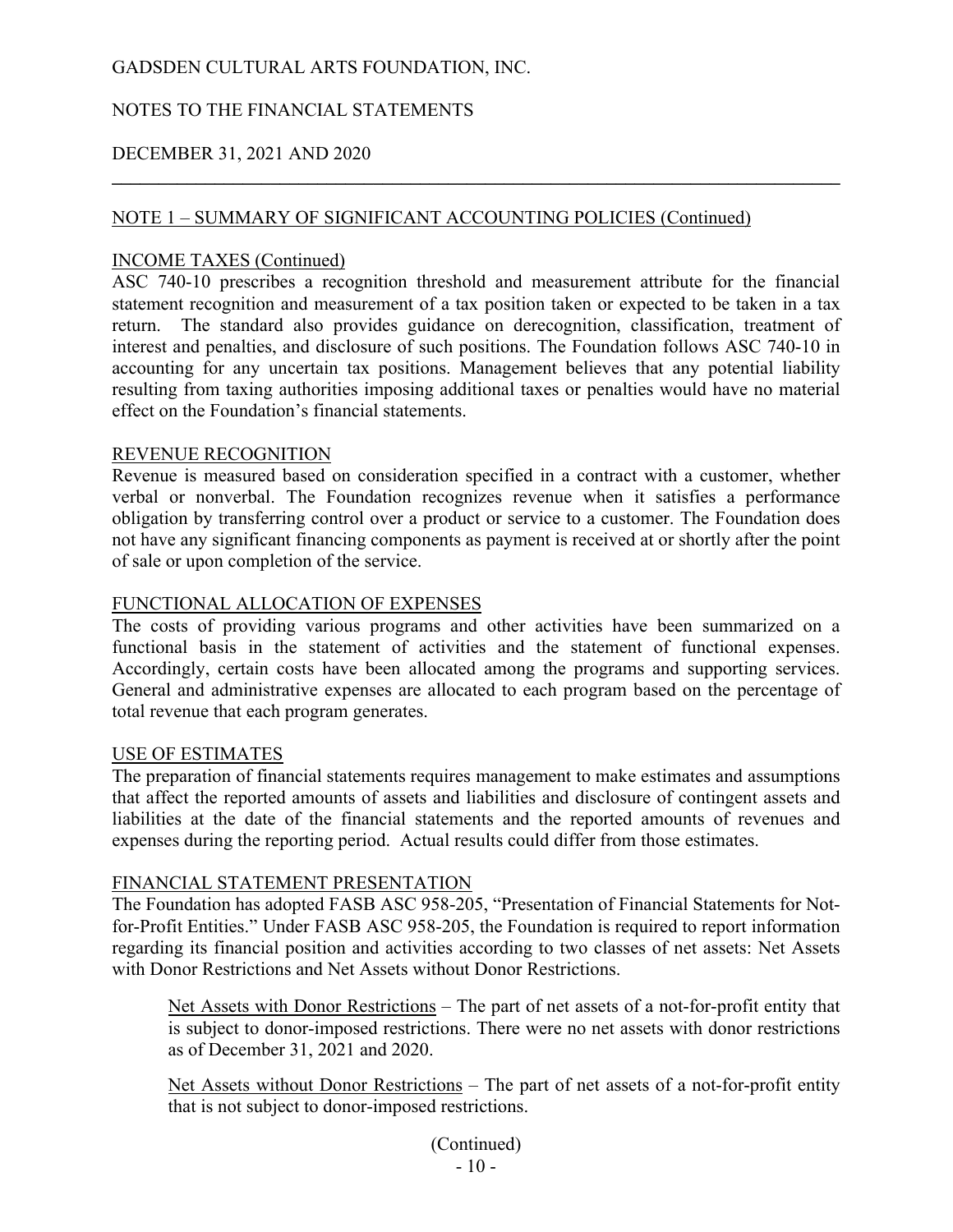# NOTES TO THE FINANCIAL STATEMENTS

# DECEMBER 31, 2021 AND 2020

# NOTE 1 – SUMMARY OF SIGNIFICANT ACCOUNTING POLICIES (Continued)

### INCOME TAXES (Continued)

ASC 740-10 prescribes a recognition threshold and measurement attribute for the financial statement recognition and measurement of a tax position taken or expected to be taken in a tax return. The standard also provides guidance on derecognition, classification, treatment of interest and penalties, and disclosure of such positions. The Foundation follows ASC 740-10 in accounting for any uncertain tax positions. Management believes that any potential liability resulting from taxing authorities imposing additional taxes or penalties would have no material effect on the Foundation's financial statements.

 $\mathcal{L}_\mathcal{L} = \{ \mathcal{L}_\mathcal{L} = \{ \mathcal{L}_\mathcal{L} = \{ \mathcal{L}_\mathcal{L} = \{ \mathcal{L}_\mathcal{L} = \{ \mathcal{L}_\mathcal{L} = \{ \mathcal{L}_\mathcal{L} = \{ \mathcal{L}_\mathcal{L} = \{ \mathcal{L}_\mathcal{L} = \{ \mathcal{L}_\mathcal{L} = \{ \mathcal{L}_\mathcal{L} = \{ \mathcal{L}_\mathcal{L} = \{ \mathcal{L}_\mathcal{L} = \{ \mathcal{L}_\mathcal{L} = \{ \mathcal{L}_\mathcal{$ 

### REVENUE RECOGNITION

Revenue is measured based on consideration specified in a contract with a customer, whether verbal or nonverbal. The Foundation recognizes revenue when it satisfies a performance obligation by transferring control over a product or service to a customer. The Foundation does not have any significant financing components as payment is received at or shortly after the point of sale or upon completion of the service.

### FUNCTIONAL ALLOCATION OF EXPENSES

The costs of providing various programs and other activities have been summarized on a functional basis in the statement of activities and the statement of functional expenses. Accordingly, certain costs have been allocated among the programs and supporting services. General and administrative expenses are allocated to each program based on the percentage of total revenue that each program generates.

#### USE OF ESTIMATES

The preparation of financial statements requires management to make estimates and assumptions that affect the reported amounts of assets and liabilities and disclosure of contingent assets and liabilities at the date of the financial statements and the reported amounts of revenues and expenses during the reporting period. Actual results could differ from those estimates.

#### FINANCIAL STATEMENT PRESENTATION

The Foundation has adopted FASB ASC 958-205, "Presentation of Financial Statements for Notfor-Profit Entities." Under FASB ASC 958-205, the Foundation is required to report information regarding its financial position and activities according to two classes of net assets: Net Assets with Donor Restrictions and Net Assets without Donor Restrictions.

Net Assets with Donor Restrictions – The part of net assets of a not-for-profit entity that is subject to donor-imposed restrictions. There were no net assets with donor restrictions as of December 31, 2021 and 2020.

Net Assets without Donor Restrictions – The part of net assets of a not-for-profit entity that is not subject to donor-imposed restrictions.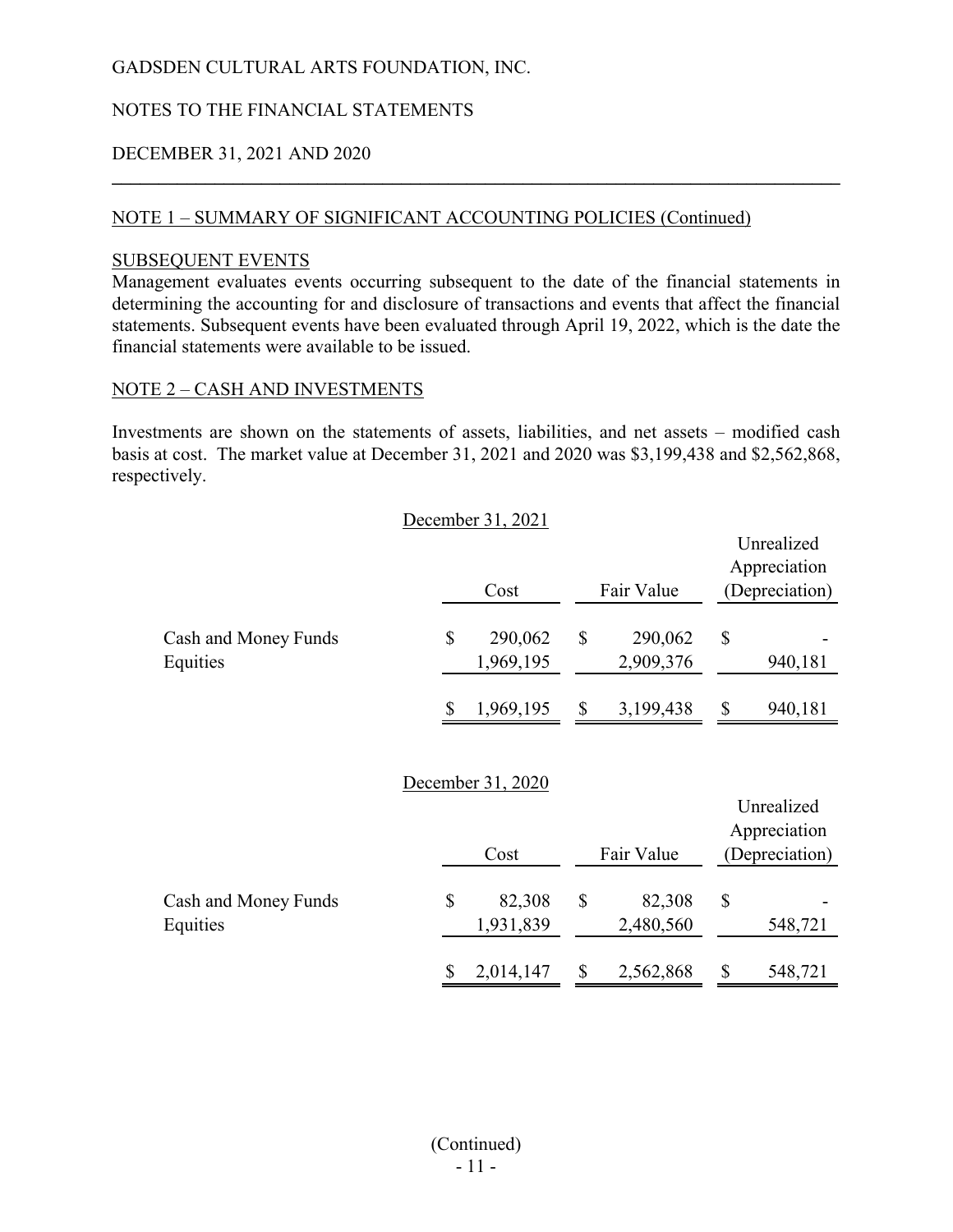# NOTES TO THE FINANCIAL STATEMENTS

# DECEMBER 31, 2021 AND 2020

### NOTE 1 – SUMMARY OF SIGNIFICANT ACCOUNTING POLICIES (Continued)

#### SUBSEQUENT EVENTS

Management evaluates events occurring subsequent to the date of the financial statements in determining the accounting for and disclosure of transactions and events that affect the financial statements. Subsequent events have been evaluated through April 19, 2022, which is the date the financial statements were available to be issued.

 $\mathcal{L}_\mathcal{L} = \{ \mathcal{L}_\mathcal{L} = \{ \mathcal{L}_\mathcal{L} = \{ \mathcal{L}_\mathcal{L} = \{ \mathcal{L}_\mathcal{L} = \{ \mathcal{L}_\mathcal{L} = \{ \mathcal{L}_\mathcal{L} = \{ \mathcal{L}_\mathcal{L} = \{ \mathcal{L}_\mathcal{L} = \{ \mathcal{L}_\mathcal{L} = \{ \mathcal{L}_\mathcal{L} = \{ \mathcal{L}_\mathcal{L} = \{ \mathcal{L}_\mathcal{L} = \{ \mathcal{L}_\mathcal{L} = \{ \mathcal{L}_\mathcal{$ 

#### NOTE 2 – CASH AND INVESTMENTS

Investments are shown on the statements of assets, liabilities, and net assets – modified cash basis at cost. The market value at December 31, 2021 and 2020 was \$3,199,438 and \$2,562,868, respectively.

|                                  | December 31, 2021          |               |                      |                                |
|----------------------------------|----------------------------|---------------|----------------------|--------------------------------|
|                                  |                            |               |                      | Unrealized<br>Appreciation     |
|                                  | Cost                       |               | Fair Value           | (Depreciation)                 |
| Cash and Money Funds<br>Equities | \$<br>290,062<br>1,969,195 | \$            | 290,062<br>2,909,376 | \$<br>940,181                  |
|                                  | \$<br>1,969,195            | \$            | 3,199,438            | \$<br>940,181                  |
|                                  | December 31, 2020          |               |                      | Unrealized                     |
|                                  | Cost                       |               | Fair Value           | Appreciation<br>(Depreciation) |
| Cash and Money Funds<br>Equities | \$<br>82,308<br>1,931,839  | $\mathcal{S}$ | 82,308<br>2,480,560  | \$<br>548,721                  |
|                                  | \$<br>2,014,147            | \$            | 2,562,868            | \$<br>548,721                  |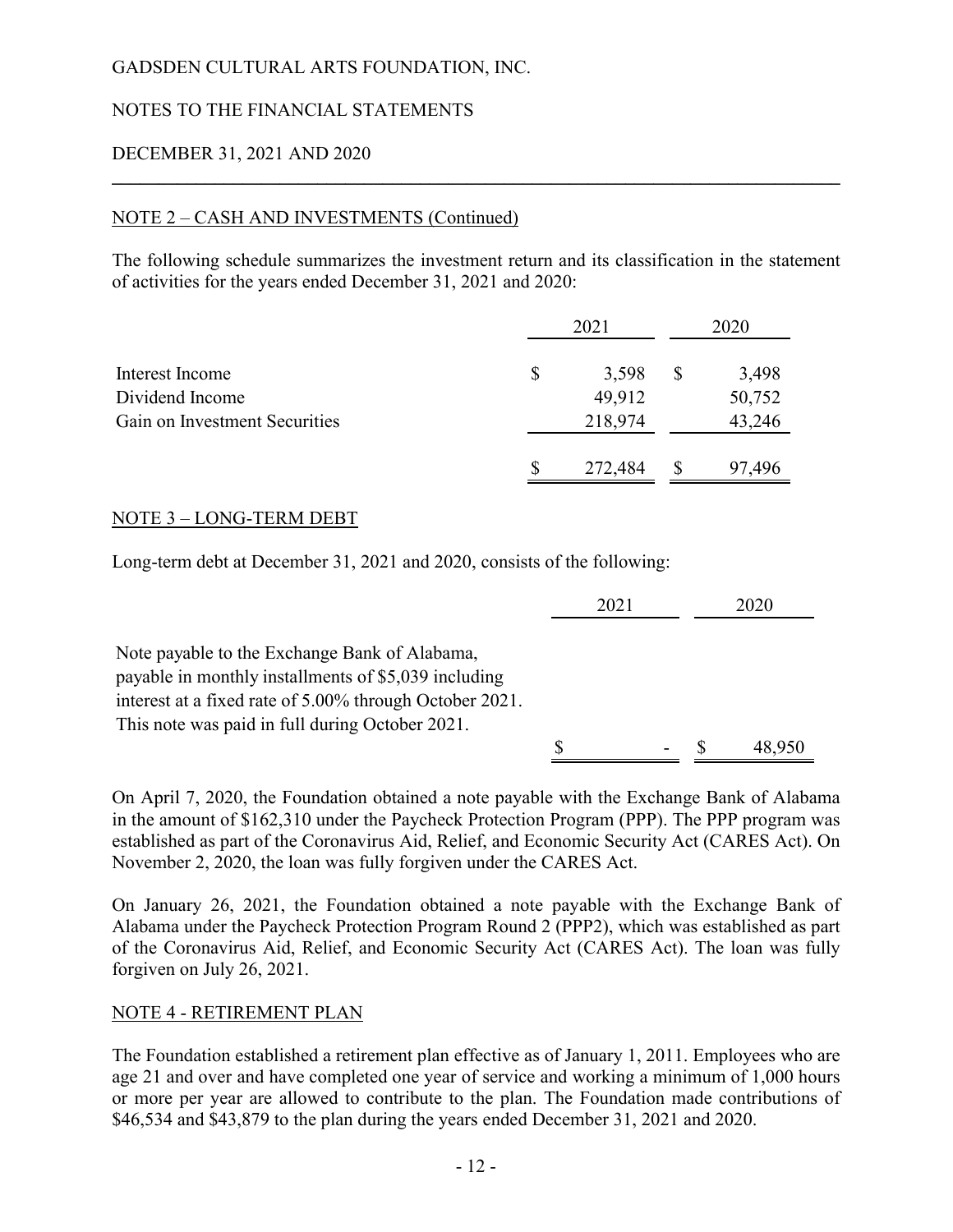# NOTES TO THE FINANCIAL STATEMENTS

# DECEMBER 31, 2021 AND 2020

# NOTE 2 – CASH AND INVESTMENTS (Continued)

The following schedule summarizes the investment return and its classification in the statement of activities for the years ended December 31, 2021 and 2020:

 $\mathcal{L}_\mathcal{L} = \{ \mathcal{L}_\mathcal{L} = \{ \mathcal{L}_\mathcal{L} = \{ \mathcal{L}_\mathcal{L} = \{ \mathcal{L}_\mathcal{L} = \{ \mathcal{L}_\mathcal{L} = \{ \mathcal{L}_\mathcal{L} = \{ \mathcal{L}_\mathcal{L} = \{ \mathcal{L}_\mathcal{L} = \{ \mathcal{L}_\mathcal{L} = \{ \mathcal{L}_\mathcal{L} = \{ \mathcal{L}_\mathcal{L} = \{ \mathcal{L}_\mathcal{L} = \{ \mathcal{L}_\mathcal{L} = \{ \mathcal{L}_\mathcal{$ 

|                                                                     | 2021                             |                                     | 2020 |
|---------------------------------------------------------------------|----------------------------------|-------------------------------------|------|
| Interest Income<br>Dividend Income<br>Gain on Investment Securities | \$<br>3,598<br>49,912<br>218,974 | 3,498<br>50,752<br>43,246<br>97,496 |      |
|                                                                     | \$<br>272,484                    |                                     |      |

### NOTE 3 – LONG-TERM DEBT

Long-term debt at December 31, 2021 and 2020, consists of the following:

|                                                                                                                                                                  | 2021 | 2020 |
|------------------------------------------------------------------------------------------------------------------------------------------------------------------|------|------|
| Note payable to the Exchange Bank of Alabama,<br>payable in monthly installments of \$5,039 including<br>interest at a fixed rate of 5.00% through October 2021. |      |      |
| This note was paid in full during October 2021.                                                                                                                  |      |      |
|                                                                                                                                                                  |      |      |

On April 7, 2020, the Foundation obtained a note payable with the Exchange Bank of Alabama in the amount of \$162,310 under the Paycheck Protection Program (PPP). The PPP program was established as part of the Coronavirus Aid, Relief, and Economic Security Act (CARES Act). On November 2, 2020, the loan was fully forgiven under the CARES Act.

On January 26, 2021, the Foundation obtained a note payable with the Exchange Bank of Alabama under the Paycheck Protection Program Round 2 (PPP2), which was established as part of the Coronavirus Aid, Relief, and Economic Security Act (CARES Act). The loan was fully forgiven on July 26, 2021.

#### NOTE 4 - RETIREMENT PLAN

The Foundation established a retirement plan effective as of January 1, 2011. Employees who are age 21 and over and have completed one year of service and working a minimum of 1,000 hours or more per year are allowed to contribute to the plan. The Foundation made contributions of \$46,534 and \$43,879 to the plan during the years ended December 31, 2021 and 2020.